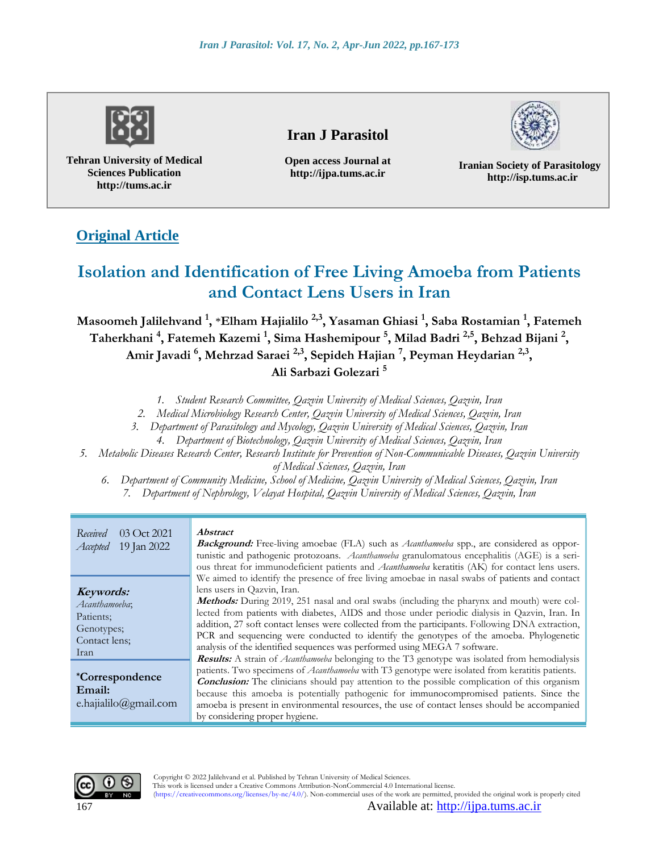

**Tehran University of Medical Sciences Publication http://tums.ac.ir**

# **Iran J Parasitol**

**Open access Journal at http://ijpa.tums.ac.ir**



**Iranian Society of Parasitology http://isp.tums.ac.ir**

# **Original Article**

# **Isolation and Identification of Free Living Amoeba from Patients and Contact Lens Users in Iran**

**Masoomeh Jalilehvand <sup>1</sup> ,** \***Elham Hajialilo 2,3, Yasaman Ghiasi <sup>1</sup> , Saba Rostamian <sup>1</sup> , Fatemeh Taherkhani <sup>4</sup> , Fatemeh Kazemi <sup>1</sup> , Sima Hashemipour <sup>5</sup> , Milad Badri 2,5 , Behzad Bijani <sup>2</sup> , Amir Javadi <sup>6</sup> , Mehrzad Saraei 2,3, Sepideh Hajian <sup>7</sup> , Peyman Heydarian 2,3 , Ali Sarbazi Golezari <sup>5</sup>**

*1. Student Research Committee, Qazvin University of Medical Sciences, Qazvin, Iran* 

*2. Medical Microbiology Research Center, Qazvin University of Medical Sciences, Qazvin, Iran*

*3. Department of Parasitology and Mycology, Qazvin University of Medical Sciences, Qazvin, Iran* 

*4. Department of Biotechnology, Qazvin University of Medical Sciences, Qazvin, Iran* 

*5. Metabolic Diseases Research Center, Research Institute for Prevention of Non-Communicable Diseases, Qazvin University of Medical Sciences, Qazvin, Iran* 

*6. Department of Community Medicine, School of Medicine, Qazvin University of Medical Sciences, Qazvin, Iran 7. Department of Nephrology, Velayat Hospital, Qazvin University of Medical Sciences, Qazvin, Iran* 

| Received<br>03 Oct 2021<br>19 Jan 2022<br>Accepted                             | <i>Abstract</i><br><b>Background:</b> Free-living amoebae (FLA) such as <i>Acanthamoeba</i> spp., are considered as oppor-<br>tunistic and pathogenic protozoans. Acanthamoeba granulomatous encephalitis (AGE) is a seri-<br>ous threat for immunodeficient patients and <i>Acanthamoeba</i> keratitis (AK) for contact lens users.                                                                                                                                                                                                                                                                              |
|--------------------------------------------------------------------------------|-------------------------------------------------------------------------------------------------------------------------------------------------------------------------------------------------------------------------------------------------------------------------------------------------------------------------------------------------------------------------------------------------------------------------------------------------------------------------------------------------------------------------------------------------------------------------------------------------------------------|
| Keywords:<br>Acanthamoeba;<br>Patients:<br>Genotypes;<br>Contact lens:<br>Iran | We aimed to identify the presence of free living amoebae in nasal swabs of patients and contact<br>lens users in Qazvin, Iran.<br><b>Methods:</b> During 2019, 251 nasal and oral swabs (including the pharynx and mouth) were col-<br>lected from patients with diabetes, AIDS and those under periodic dialysis in Qazvin, Iran. In<br>addition, 27 soft contact lenses were collected from the participants. Following DNA extraction,<br>PCR and sequencing were conducted to identify the genotypes of the amoeba. Phylogenetic<br>analysis of the identified sequences was performed using MEGA 7 software. |
| <i>*Correspondence</i><br>Email:<br>e.hajialilo@gmail.com                      | <b>Results:</b> A strain of <i>Acanthamoeba</i> belonging to the T3 genotype was isolated from hemodialysis<br>patients. Two specimens of Acanthamoeba with T3 genotype were isolated from keratitis patients.<br><b>Conclusion:</b> The clinicians should pay attention to the possible complication of this organism<br>because this amoeba is potentially pathogenic for immunocompromised patients. Since the<br>amoeba is present in environmental resources, the use of contact lenses should be accompanied<br>by considering proper hygiene.                                                              |



167 Available at: [http://ijpa.tums.ac.ir](http://ijpa.tums.ac.ir/)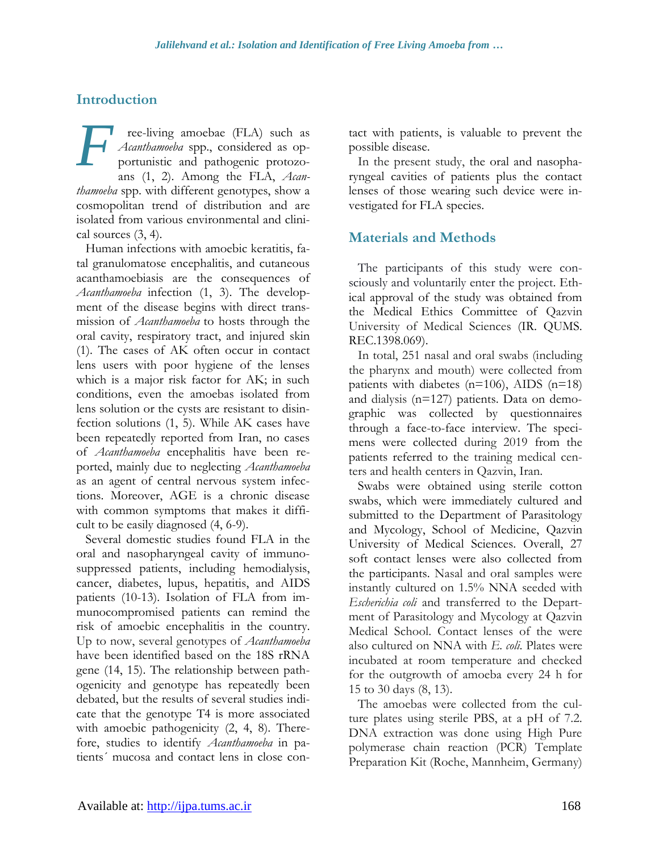# **Introduction**

ree-living amoebae (FLA) such as *Acanthamoeba* spp., considered as opportunistic and pathogenic protozoans (1, 2). Among the FLA, *Acanthamoeba* spp. with different genotypes, show a cosmopolitan trend of distribution and are isolated from various environmental and clinical sources (3, 4). *F*

Human infections with amoebic keratitis, fatal granulomatose encephalitis, and cutaneous acanthamoebiasis are the consequences of *Acanthamoeba* infection (1, 3). The development of the disease begins with direct transmission of *Acanthamoeba* to hosts through the oral cavity, respiratory tract, and injured skin (1). The cases of AK often occur in contact lens users with poor hygiene of the lenses which is a major risk factor for AK; in such conditions, even the amoebas isolated from lens solution or the cysts are resistant to disinfection solutions (1, 5). While AK cases have been repeatedly reported from Iran, no cases of *Acanthamoeba* encephalitis have been reported, mainly due to neglecting *Acanthamoeba*  as an agent of central nervous system infections. Moreover, AGE is a chronic disease with common symptoms that makes it difficult to be easily diagnosed (4, 6-9).

Several domestic studies found FLA in the oral and nasopharyngeal cavity of immunosuppressed patients, including hemodialysis, cancer, diabetes, lupus, hepatitis, and AIDS patients (10-13). Isolation of FLA from immunocompromised patients can remind the risk of amoebic encephalitis in the country. Up to now, several genotypes of *Acanthamoeba* have been identified based on the 18S rRNA gene (14, 15). The relationship between pathogenicity and genotype has repeatedly been debated, but the results of several studies indicate that the genotype T4 is more associated with amoebic pathogenicity  $(2, 4, 8)$ . Therefore, studies to identify *Acanthamoeba* in patients´ mucosa and contact lens in close contact with patients, is valuable to prevent the possible disease.

In the present study, the oral and nasopharyngeal cavities of patients plus the contact lenses of those wearing such device were investigated for FLA species.

# **Materials and Methods**

The participants of this study were consciously and voluntarily enter the project. Ethical approval of the study was obtained from the Medical Ethics Committee of Qazvin University of Medical Sciences (IR. QUMS. REC.1398.069).

In total, 251 nasal and oral swabs (including the pharynx and mouth) were collected from patients with diabetes (n=106), AIDS (n=18) and dialysis (n=127) patients. Data on demographic was collected by questionnaires through a face-to-face interview. The specimens were collected during 2019 from the patients referred to the training medical centers and health centers in Qazvin, Iran.

Swabs were obtained using sterile cotton swabs, which were immediately cultured and submitted to the Department of Parasitology and Mycology, School of Medicine, Qazvin University of Medical Sciences. Overall, 27 soft contact lenses were also collected from the participants. Nasal and oral samples were instantly cultured on 1.5% NNA seeded with *Escherichia coli* and transferred to the Department of Parasitology and Mycology at Qazvin Medical School. Contact lenses of the were also cultured on NNA with *E. coli*. Plates were incubated at room temperature and checked for the outgrowth of amoeba every 24 h for 15 to 30 days (8, 13).

The amoebas were collected from the culture plates using sterile PBS, at a pH of 7.2. DNA extraction was done using High Pure polymerase chain reaction (PCR) Template Preparation Kit (Roche, Mannheim, Germany)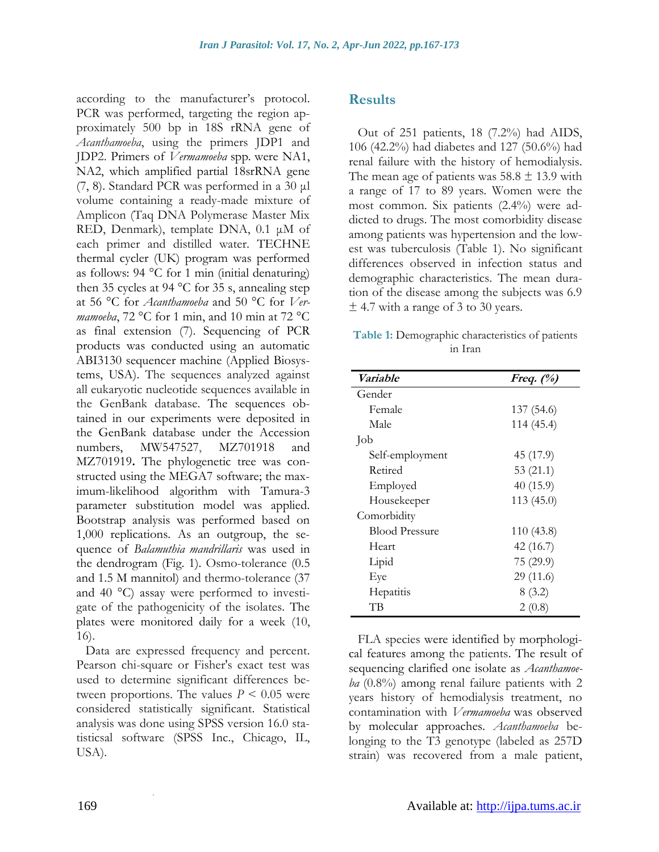according to the manufacturer's protocol. PCR was performed, targeting the region approximately 500 bp in 18S rRNA gene of *Acanthamoeba*, using the primers JDP1 and JDP2. Primers of *Vermamoeba* spp*.* were NA1, NA2, which amplified partial 18srRNA gene (7, 8). Standard PCR was performed in a 30 μl volume containing a ready-made mixture of Amplicon (Taq DNA Polymerase Master Mix RED, Denmark), template DNA, 0.1 μM of each primer and distilled water. TECHNE thermal cycler (UK) program was performed as follows: 94 °C for 1 min (initial denaturing) then 35 cycles at 94 °C for 35 s, annealing step at 56 °C for *Acanthamoeba* and 50 °C for *Vermamoeba*, 72 °C for 1 min, and 10 min at 72 °C as final extension (7). Sequencing of PCR products was conducted using an automatic ABI3130 sequencer machine (Applied Biosystems, USA). The sequences analyzed against all eukaryotic nucleotide sequences available in the GenBank database. The sequences obtained in our experiments were deposited in the GenBank database under the Accession numbers, MW547527, MZ701918 and MZ701919**.** The phylogenetic tree was constructed using the MEGA7 software; the maximum-likelihood algorithm with Tamura-3 parameter substitution model was applied. Bootstrap analysis was performed based on 1,000 replications. As an outgroup, the sequence of *Balamuthia mandrillaris* was used in the dendrogram (Fig. 1). Osmo-tolerance (0.5 and 1.5 M mannitol) and thermo-tolerance (37 and 40 °C) assay were performed to investigate of the pathogenicity of the isolates. The plates were monitored daily for a week (10, 16).

Data are expressed frequency and percent. Pearson chi-square or Fisher's exact test was used to determine significant differences between proportions. The values  $P \leq 0.05$  were considered statistically significant. Statistical analysis was done using SPSS version 16.0 statisticsal software (SPSS Inc., Chicago, IL, USA).

.

## **Results**

Out of 251 patients, 18 (7.2%) had AIDS, 106 (42.2%) had diabetes and 127 (50.6%) had renal failure with the history of hemodialysis. The mean age of patients was  $58.8 \pm 13.9$  with a range of 17 to 89 years. Women were the most common. Six patients (2.4%) were addicted to drugs. The most comorbidity disease among patients was hypertension and the lowest was tuberculosis (Table 1). No significant differences observed in infection status and demographic characteristics. The mean duration of the disease among the subjects was 6.9  $\pm$  4.7 with a range of 3 to 30 years.

**Table 1:** Demographic characteristics of patients in Iran

| Variable              | Freq. $(\%)$ |
|-----------------------|--------------|
| Gender                |              |
| Female                | 137 (54.6)   |
| Male                  | 114 (45.4)   |
| Job                   |              |
| Self-employment       | 45 (17.9)    |
| Retired               | 53 $(21.1)$  |
| Employed              | 40(15.9)     |
| Housekeeper           | 113(45.0)    |
| Comorbidity           |              |
| <b>Blood Pressure</b> | 110(43.8)    |
| Heart                 | 42 (16.7)    |
| Lipid                 | 75 (29.9)    |
| Eye                   | 29(11.6)     |
| Hepatitis             | 8(3.2)       |
| TВ                    | 2(0.8)       |

FLA species were identified by morphological features among the patients. The result of sequencing clarified one isolate as *Acanthamoeba* (0.8%) among renal failure patients with 2 years history of hemodialysis treatment, no contamination with *Vermamoeba* was observed by molecular approaches. *Acanthamoeba* belonging to the T3 genotype (labeled as 257D strain) was recovered from a male patient,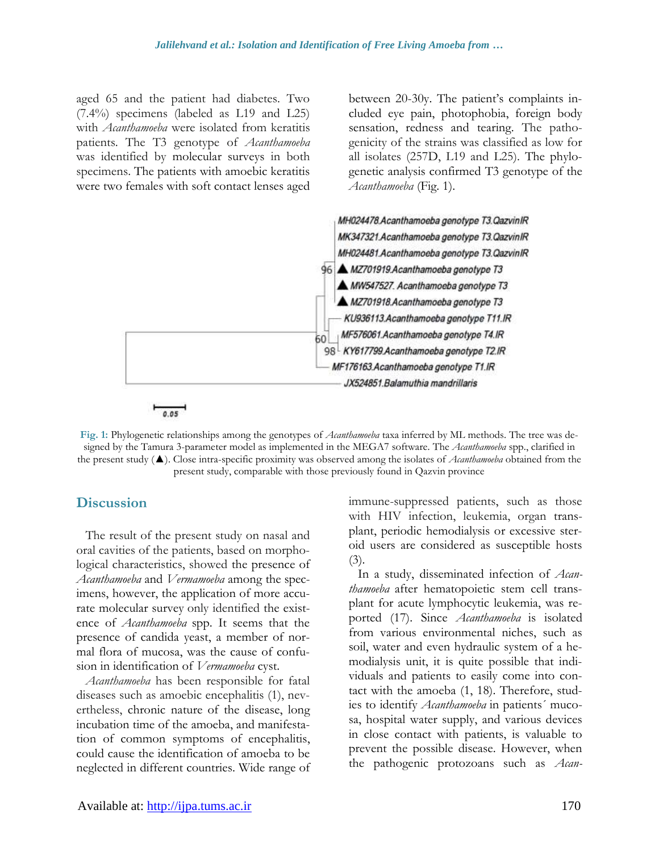aged 65 and the patient had diabetes. Two (7.4%) specimens (labeled as L19 and L25) with *Acanthamoeba* were isolated from keratitis patients. The T3 genotype of *Acanthamoeba*  was identified by molecular surveys in both specimens. The patients with amoebic keratitis were two females with soft contact lenses aged

between 20-30y. The patient's complaints included eye pain, photophobia, foreign body sensation, redness and tearing. The pathogenicity of the strains was classified as low for all isolates (257D, L19 and L25). The phylogenetic analysis confirmed T3 genotype of the *Acanthamoeba* (Fig. 1).



**Fig. 1:** Phylogenetic relationships among the genotypes of *Acanthamoeba* taxa inferred by ML methods. The tree was designed by the Tamura 3-parameter model as implemented in the MEGA7 software. The *Acanthamoeba* spp., clarified in the present study (▲). Close intra-specific proximity was observed among the isolates of *Acanthamoeba* obtained from the present study, comparable with those previously found in Qazvin province

#### **Discussion**

The result of the present study on nasal and oral cavities of the patients, based on morphological characteristics, showed the presence of *Acanthamoeba* and *Vermamoeba* among the specimens, however, the application of more accurate molecular survey only identified the existence of *Acanthamoeba* spp. It seems that the presence of candida yeast, a member of normal flora of mucosa, was the cause of confusion in identification of *Vermamoeba* cyst.

*Acanthamoeba* has been responsible for fatal diseases such as amoebic encephalitis (1), nevertheless, chronic nature of the disease, long incubation time of the amoeba, and manifestation of common symptoms of encephalitis, could cause the identification of amoeba to be neglected in different countries. Wide range of immune-suppressed patients, such as those with HIV infection, leukemia, organ transplant, periodic hemodialysis or excessive steroid users are considered as susceptible hosts  $(3).$ 

In a study, disseminated infection of *Acanthamoeba* after hematopoietic stem cell transplant for acute lymphocytic leukemia, was reported (17). Since *Acanthamoeba* is isolated from various environmental niches, such as soil, water and even hydraulic system of a hemodialysis unit, it is quite possible that individuals and patients to easily come into contact with the amoeba (1, 18). Therefore, studies to identify *Acanthamoeba* in patients´ mucosa, hospital water supply, and various devices in close contact with patients, is valuable to prevent the possible disease. However, when the pathogenic protozoans such as *Acan-*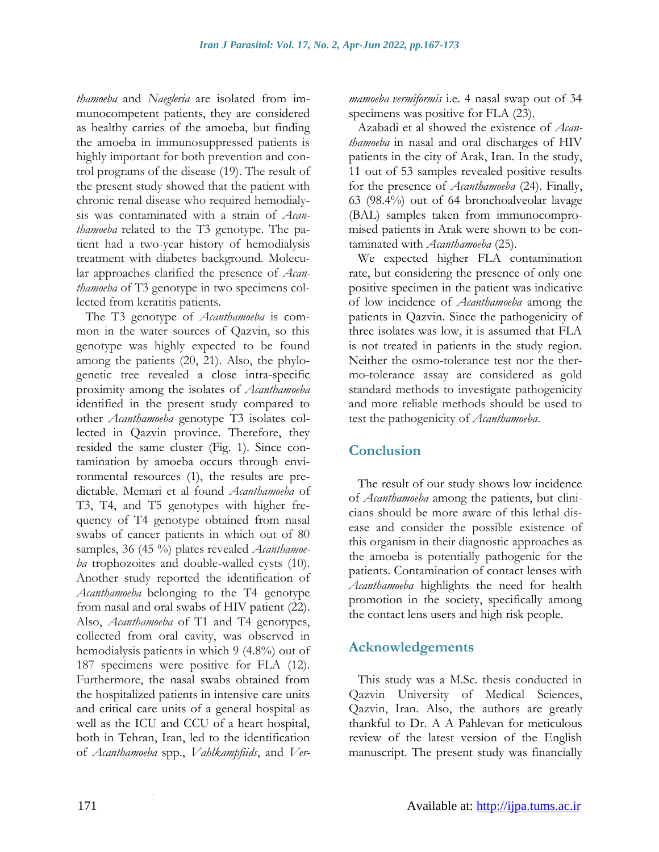*thamoeba* and *Naegleria* are isolated from immunocompetent patients, they are considered as healthy carries of the amoeba, but finding the amoeba in immunosuppressed patients is highly important for both prevention and control programs of the disease (19). The result of the present study showed that the patient with chronic renal disease who required hemodialysis was contaminated with a strain of *Acanthamoeba* related to the T3 genotype. The patient had a two-year history of hemodialysis treatment with diabetes background. Molecular approaches clarified the presence of *Acanthamoeba* of T3 genotype in two specimens collected from keratitis patients.

The T3 genotype of *Acanthamoeba* is common in the water sources of Qazvin, so this genotype was highly expected to be found among the patients (20, 21). Also, the phylogenetic tree revealed a close intra-specific proximity among the isolates of *Acanthamoeba* identified in the present study compared to other *Acanthamoeba* genotype T3 isolates collected in Qazvin province. Therefore, they resided the same cluster (Fig. 1). Since contamination by amoeba occurs through environmental resources (1), the results are predictable. Memari et al found *Acanthamoeba* of T3, T4, and T5 genotypes with higher frequency of T4 genotype obtained from nasal swabs of cancer patients in which out of 80 samples, 36 (45 %) plates revealed *Acanthamoeba* trophozoites and double-walled cysts (10). Another study reported the identification of *Acanthamoeba* belonging to the T4 genotype from nasal and oral swabs of HIV patient (22). Also, *Acanthamoeba* of T1 and T4 genotypes, collected from oral cavity, was observed in hemodialysis patients in which 9 (4.8%) out of 187 specimens were positive for FLA (12). Furthermore, the nasal swabs obtained from the hospitalized patients in intensive care units and critical care units of a general hospital as well as the ICU and CCU of a heart hospital, both in Tehran, Iran, led to the identification of *Acanthamoeba* spp., *Vahlkampfiids*, and *Ver-* *mamoeba vermiformis* i.e. 4 nasal swap out of 34 specimens was positive for FLA  $(23)$ .

Azabadi et al showed the existence of *Acanthamoeba* in nasal and oral discharges of HIV patients in the city of Arak, Iran. In the study, 11 out of 53 samples revealed positive results for the presence of *Acanthamoeba* (24). Finally, 63 (98.4%) out of 64 bronchoalveolar lavage (BAL) samples taken from immunocompromised patients in Arak were shown to be contaminated with *Acanthamoeba* (25).

We expected higher FLA contamination rate, but considering the presence of only one positive specimen in the patient was indicative of low incidence of *Acanthamoeba* among the patients in Qazvin. Since the pathogenicity of three isolates was low, it is assumed that FLA is not treated in patients in the study region. Neither the osmo-tolerance test nor the thermo-tolerance assay are considered as gold standard methods to investigate pathogenicity and more reliable methods should be used to test the pathogenicity of *Acanthamoeba*.

## **Conclusion**

The result of our study shows low incidence of *Acanthamoeba* among the patients, but clinicians should be more aware of this lethal disease and consider the possible existence of this organism in their diagnostic approaches as the amoeba is potentially pathogenic for the patients. Contamination of contact lenses with *Acanthamoeba* highlights the need for health promotion in the society, specifically among the contact lens users and high risk people.

## **Acknowledgements**

This study was a M.Sc. thesis conducted in Qazvin University of Medical Sciences, Qazvin, Iran. Also, the authors are greatly thankful to Dr. A A Pahlevan for meticulous review of the latest version of the English manuscript. The present study was financially

.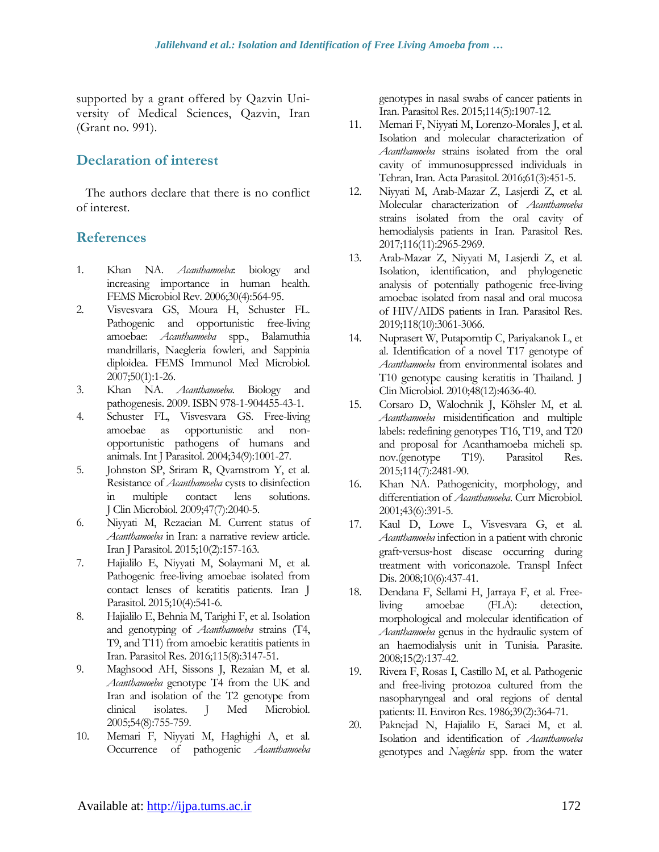supported by a grant offered by Qazvin University of Medical Sciences, Qazvin, Iran (Grant no. 991).

## **Declaration of interest**

The authors declare that there is no conflict of interest.

## **References**

- 1. Khan NA. *Acanthamoeba*: biology and increasing importance in human health. FEMS Microbiol Rev. 2006;30(4):564-95.
- 2. Visvesvara GS, Moura H, Schuster FL. Pathogenic and opportunistic free-living amoebae: *Acanthamoeba* spp., Balamuthia mandrillaris, Naegleria fowleri, and Sappinia diploidea. FEMS Immunol Med Microbiol. 2007;50(1):1-26.
- 3. Khan NA. *Acanthamoeba*. Biology and pathogenesis. 2009. ISBN 978-1-904455-43-1.
- 4. Schuster FL, Visvesvara GS. Free-living amoebae as opportunistic and nonopportunistic pathogens of humans and animals. Int J Parasitol. 2004;34(9):1001-27.
- 5. Johnston SP, Sriram R, Qvarnstrom Y, et al. Resistance of *Acanthamoeba* cysts to disinfection in multiple contact lens solutions. J Clin Microbiol. 2009;47(7):2040-5.
- 6. Niyyati M, Rezaeian M. Current status of *Acanthamoeba* in Iran: a narrative review article. Iran J Parasitol. 2015;10(2):157-163.
- 7. Hajialilo E, Niyyati M, Solaymani M, et al. Pathogenic free-living amoebae isolated from contact lenses of keratitis patients. Iran J Parasitol. 2015;10(4):541-6.
- 8. Hajialilo E, Behnia M, Tarighi F, et al. Isolation and genotyping of *Acanthamoeba* strains (T4, T9, and T11) from amoebic keratitis patients in Iran. Parasitol Res. 2016;115(8):3147-51.
- 9. Maghsood AH, Sissons J, Rezaian M, et al. *Acanthamoeba* genotype T4 from the UK and Iran and isolation of the T2 genotype from clinical isolates. J Med Microbiol. 2005;54(8):755-759.
- 10. Memari F, Niyyati M, Haghighi A, et al. Occurrence of pathogenic *Acanthamoeba*

genotypes in nasal swabs of cancer patients in Iran. Parasitol Res. 2015;114(5):1907-12.

- 11. Memari F, Niyyati M, Lorenzo-Morales J, et al. Isolation and molecular characterization of *Acanthamoeba* strains isolated from the oral cavity of immunosuppressed individuals in Tehran, Iran. Acta Parasitol. 2016;61(3):451-5.
- 12. Niyyati M, Arab-Mazar Z, Lasjerdi Z, et al. Molecular characterization of *Acanthamoeba* strains isolated from the oral cavity of hemodialysis patients in Iran. Parasitol Res. 2017;116(11):2965-2969.
- 13. Arab-Mazar Z, Niyyati M, Lasjerdi Z, et al. Isolation, identification, and phylogenetic analysis of potentially pathogenic free-living amoebae isolated from nasal and oral mucosa of HIV/AIDS patients in Iran. Parasitol Res. 2019;118(10):3061-3066.
- 14. Nuprasert W, Putaporntip C, Pariyakanok L, et al. Identification of a novel T17 genotype of *Acanthamoeba* from environmental isolates and T10 genotype causing keratitis in Thailand. J Clin Microbiol. 2010;48(12):4636-40.
- 15. Corsaro D, Walochnik J, Köhsler M, et al. *Acanthamoeba* misidentification and multiple labels: redefining genotypes T16, T19, and T20 and proposal for Acanthamoeba micheli sp. nov.(genotype T19). Parasitol Res. 2015;114(7):2481-90.
- 16. Khan NA. Pathogenicity, morphology, and differentiation of *Acanthamoeba*. Curr Microbiol. 2001;43(6):391-5.
- 17. Kaul D, Lowe L, Visvesvara G, et al. *Acanthamoeba* infection in a patient with chronic graft‐versus‐host disease occurring during treatment with voriconazole. Transpl Infect Dis. 2008;10(6):437-41.
- 18. Dendana F, Sellami H, Jarraya F, et al. Freeliving amoebae (FLA): detection, morphological and molecular identification of *Acanthamoeba* genus in the hydraulic system of an haemodialysis unit in Tunisia. Parasite. 2008;15(2):137-42.
- 19. Rivera F, Rosas I, Castillo M, et al. Pathogenic and free-living protozoa cultured from the nasopharyngeal and oral regions of dental patients: II. Environ Res. 1986;39(2):364-71.
- 20. Paknejad N, Hajialilo E, Saraei M, et al. Isolation and identification of *Acanthamoeba* genotypes and *Naegleria* spp. from the water